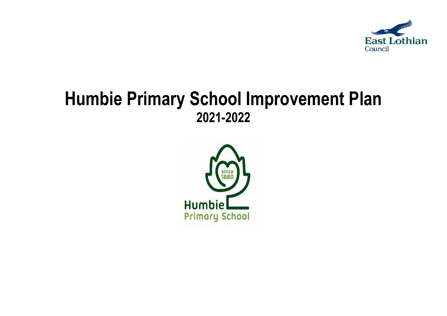

# **Humbie Primary School Improvement Plan 2021-2022**

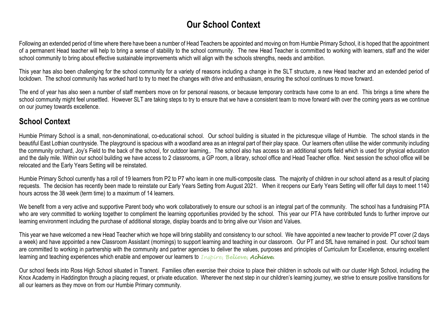# **Our School Context**

Following an extended period of time where there have been a number of Head Teachers be appointed and moving on from Humbie Primary School, it is hoped that the appointment of a permanent Head teacher will help to bring a sense of stability to the school community. The new Head Teacher is committed to working with learners, staff and the wider school community to bring about effective sustainable improvements which will align with the schools strengths, needs and ambition.

This year has also been challenging for the school community for a variety of reasons including a change in the SLT structure, a new Head teacher and an extended period of lockdown. The school community has worked hard to try to meet the changes with drive and enthusiasm, ensuring the school continues to move forward.

The end of year has also seen a number of staff members move on for personal reasons, or because temporary contracts have come to an end. This brings a time where the school community might feel unsettled. However SLT are taking steps to try to ensure that we have a consistent team to move forward with over the coming years as we continue on our journey towards excellence.

### **School Context**

Humbie Primary School is a small, non-denominational, co-educational school. Our school building is situated in the picturesque village of Humbie. The school stands in the beautiful East Lothian countryside. The playground is spacious with a woodland area as an integral part of their play space. Our learners often utilise the wider community including the community orchard, Joy's Field to the back of the school, for outdoor learning,. The school also has access to an additional sports field which is used for physical education and the daily mile. Within our school building we have access to 2 classrooms, a GP room, a library, school office and Head Teacher office. Next session the school office will be relocated and the Early Years Setting will be reinstated.

Humbie Primary School currently has a roll of 19 learners from P2 to P7 who learn in one multi-composite class. The majority of children in our school attend as a result of placing requests. The decision has recently been made to reinstate our Early Years Setting from August 2021. When it reopens our Early Years Setting will offer full days to meet 1140 hours across the 38 week (term time) to a maximum of 14 learners.

We benefit from a very active and supportive Parent body who work collaboratively to ensure our school is an integral part of the community. The school has a fundraising PTA who are very committed to working together to compliment the learning opportunities provided by the school. This year our PTA have contributed funds to further improve our learning environment including the purchase of additional storage, display boards and to bring alive our Vision and Values.

This year we have welcomed a new Head Teacher which we hope will bring stability and consistency to our school. We have appointed a new teacher to provide PT cover (2 days a week) and have appointed a new Classroom Assistant (mornings) to support learning and teaching in our classroom. Our PT and SfL have remained in post. Our school team are committed to working in partnership with the community and partner agencies to deliver the values, purposes and principles of Curriculum for Excellence, ensuring excellent learning and teaching experiences which enable and empower our learners to *Inspire, Believe, Achieve.*

Our school feeds into Ross High School situated in Tranent. Families often exercise their choice to place their children in schools out with our cluster High School, including the Knox Academy in Haddington through a placing request, or private education. Wherever the next step in our children's learning journey, we strive to ensure positive transitions for all our learners as they move on from our Humbie Primary community.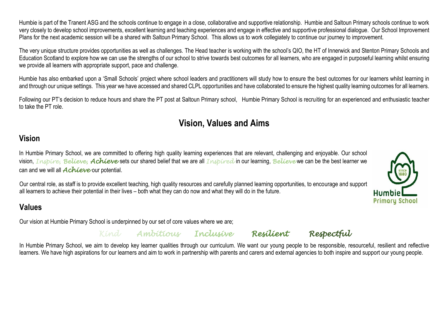Humbie is part of the Tranent ASG and the schools continue to engage in a close, collaborative and supportive relationship. Humbie and Saltoun Primary schools continue to work very closely to develop school improvements, excellent learning and teaching experiences and engage in effective and supportive professional dialogue. Our School Improvement Plans for the next academic session will be a shared with Saltoun Primary School. This allows us to work collegiately to continue our journey to improvement.

The very unique structure provides opportunities as well as challenges. The Head teacher is working with the school's QIO, the HT of Innerwick and Stenton Primary Schools and Education Scotland to explore how we can use the strengths of our school to strive towards best outcomes for all learners, who are engaged in purposeful learning whilst ensuring we provide all learners with appropriate support, pace and challenge.

Humbie has also embarked upon a 'Small Schools' project where school leaders and practitioners will study how to ensure the best outcomes for our learners whilst learning in and through our unique settings. This year we have accessed and shared CLPL opportunities and have collaborated to ensure the highest quality learning outcomes for all learners.

Following our PT's decision to reduce hours and share the PT post at Saltoun Primary school, Humbie Primary School is recruiting for an experienced and enthusiastic teacher to take the PT role.

# **Vision, Values and Aims**

# **Vision**

In Humbie Primary School, we are committed to offering high quality learning experiences that are relevant, challenging and enjoyable. Our school vision, *Inspire, Believe, Achieve* sets our shared belief that we are all *Inspired* in our learning, *Believe* we can be the best learner we can and we will all *Achieve* our potential.

Our central role, as staff is to provide excellent teaching, high quality resources and carefully planned learning opportunities, to encourage and support all learners to achieve their potential in their lives – both what they can do now and what they will do in the future.

## **Values**

Our vision at Humbie Primary School is underpinned by our set of core values where we are;

*Kind Ambitious Inclusive Resilient Respectful* 



In Humbie Primary School, we aim to develop key learner qualities through our curriculum. We want our young people to be responsible, resourceful, resilient and reflective learners. We have high aspirations for our learners and aim to work in partnership with parents and carers and external agencies to both inspire and support our young people.

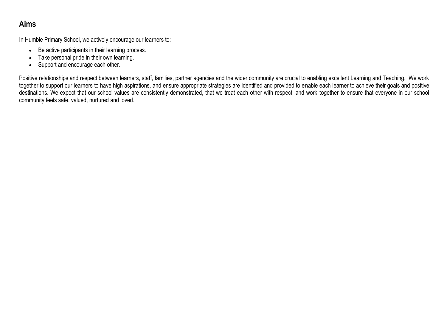## **Aims**

In Humbie Primary School, we actively encourage our learners to:

- Be active participants in their learning process.
- Take personal pride in their own learning.
- Support and encourage each other.

Positive relationships and respect between learners, staff, families, partner agencies and the wider community are crucial to enabling excellent Learning and Teaching. We work together to support our learners to have high aspirations, and ensure appropriate strategies are identified and provided to enable each learner to achieve their goals and positive destinations. We expect that our school values are consistently demonstrated, that we treat each other with respect, and work together to ensure that everyone in our school community feels safe, valued, nurtured and loved.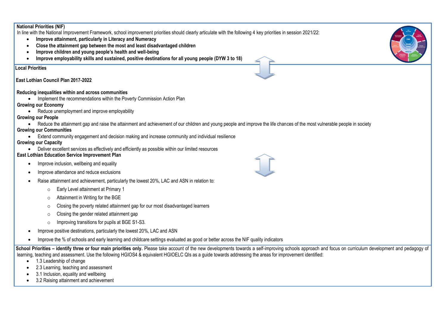#### **National Priorities (NIF)**

In line with the National Improvement Framework, school improvement priorities should clearly articulate with the following 4 key priorities in session 2021/22:

- **Improve attainment, particularly in Literacy and Numeracy**
- **Close the attainment gap between the most and least disadvantaged children**
- **Improve children and young people's health and well-being**
- **Improve employability skills and sustained, positive destinations for all young people (DYW 3 to 18)**

#### **Lo Local Priorities**

#### **East Lothian Council Plan 2017-2022**

#### **R Reducing inequalities within and across communities**

• Implement the recommendations within the Poverty Commission Action Plan

#### **Growing our Economy**

• Reduce unemployment and improve employability

#### **Growing our People**

• Reduce the attainment gap and raise the attainment and achievement of our children and young people and improve the life chances of the most vulnerable people in society

#### **Growing our Communities**

Extend community engagement and decision making and increase community and individual resilience

#### **Growing our Capacity**

Deliver excellent services as effectively and efficiently as possible within our limited resources

#### **East Lothian Education Service Improvement Plan**

- Improve inclusion, wellbeing and equality
- Improve attendance and reduce exclusions
- Raise attainment and achievement, particularly the lowest 20%, LAC and ASN in relation to:
	- o Early Level attainment at Primary 1
	- o Attainment in Writing for the BGE
	- o Closing the poverty related attainment gap for our most disadvantaged learners
	- o Closing the gender related attainment gap
	- o Improving transitions for pupils at BGE S1-S3.
- Improve positive destinations, particularly the lowest 20%, LAC and ASN
- Improve the % of schools and early learning and childcare settings evaluated as good or better across the NIF quality indicators

School Priorities – identify three or four main priorities only. Please take account of the new developments towards a self-improving schools approach and focus on curriculum development and pedagogy of learning, teaching and assessment. Use the following HGIOS4 & equivalent HGIOELC QIs as a guide towards addressing the areas for improvement identified:

- 1.3 Leadership of change
- 2.3 Learning, teaching and assessment
- 3.1 Inclusion, equality and wellbeing
- 3.2 Raising attainment and achievement





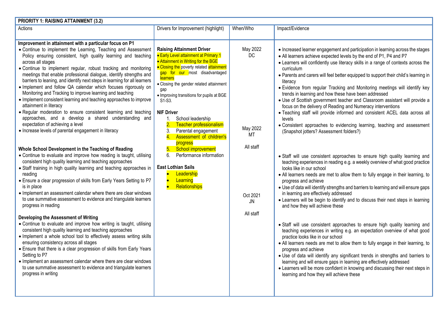| <b>PRIORITY 1: RAISING ATTAINMENT (3.2)</b>                                                                                                                                                                                                                                                                                                                                                                                                                                                                                                                                                                                                                                                                                                                                                                                                                                                                                                                                                                                                                                                                                                                                                                                                                                                                                                                                                                                                                                                                                                                                                                                                                                                                                                                                                                                                                                                                                                                                          |                                                                                                                                                                                                                                                                                                                                                                                                                                                                                                                                                                                                                         |                                                                                     |                                                                                                                                                                                                                                                                                                                                                                                                                                                                                                                                                                                                                                                                                                                                                                                                                                                                                                                                                                                                                                                                                                                                                                                                                                                                                                                                                                                                                                                                                                                                                                                                                                                                                                                                                                                                                                                                                                                                                                                                                                |  |  |  |
|--------------------------------------------------------------------------------------------------------------------------------------------------------------------------------------------------------------------------------------------------------------------------------------------------------------------------------------------------------------------------------------------------------------------------------------------------------------------------------------------------------------------------------------------------------------------------------------------------------------------------------------------------------------------------------------------------------------------------------------------------------------------------------------------------------------------------------------------------------------------------------------------------------------------------------------------------------------------------------------------------------------------------------------------------------------------------------------------------------------------------------------------------------------------------------------------------------------------------------------------------------------------------------------------------------------------------------------------------------------------------------------------------------------------------------------------------------------------------------------------------------------------------------------------------------------------------------------------------------------------------------------------------------------------------------------------------------------------------------------------------------------------------------------------------------------------------------------------------------------------------------------------------------------------------------------------------------------------------------------|-------------------------------------------------------------------------------------------------------------------------------------------------------------------------------------------------------------------------------------------------------------------------------------------------------------------------------------------------------------------------------------------------------------------------------------------------------------------------------------------------------------------------------------------------------------------------------------------------------------------------|-------------------------------------------------------------------------------------|--------------------------------------------------------------------------------------------------------------------------------------------------------------------------------------------------------------------------------------------------------------------------------------------------------------------------------------------------------------------------------------------------------------------------------------------------------------------------------------------------------------------------------------------------------------------------------------------------------------------------------------------------------------------------------------------------------------------------------------------------------------------------------------------------------------------------------------------------------------------------------------------------------------------------------------------------------------------------------------------------------------------------------------------------------------------------------------------------------------------------------------------------------------------------------------------------------------------------------------------------------------------------------------------------------------------------------------------------------------------------------------------------------------------------------------------------------------------------------------------------------------------------------------------------------------------------------------------------------------------------------------------------------------------------------------------------------------------------------------------------------------------------------------------------------------------------------------------------------------------------------------------------------------------------------------------------------------------------------------------------------------------------------|--|--|--|
| Actions                                                                                                                                                                                                                                                                                                                                                                                                                                                                                                                                                                                                                                                                                                                                                                                                                                                                                                                                                                                                                                                                                                                                                                                                                                                                                                                                                                                                                                                                                                                                                                                                                                                                                                                                                                                                                                                                                                                                                                              | Drivers for Improvement (highlight)                                                                                                                                                                                                                                                                                                                                                                                                                                                                                                                                                                                     | When/Who                                                                            | Impact/Evidence                                                                                                                                                                                                                                                                                                                                                                                                                                                                                                                                                                                                                                                                                                                                                                                                                                                                                                                                                                                                                                                                                                                                                                                                                                                                                                                                                                                                                                                                                                                                                                                                                                                                                                                                                                                                                                                                                                                                                                                                                |  |  |  |
| Improvement in attainment with a particular focus on P1<br>• Continue to implement the Learning, Teaching and Assessment<br>Policy ensuring consistent, high quality learning and teaching<br>across all stages<br>. Continue to implement regular, robust tracking and monitoring<br>meetings that enable professional dialogue, identify strengths and<br>barriers to leaning, and identify next steps in learning for all learners<br>. Implement and follow QA calendar which focuses rigorously on<br>Monitoring and Tracking to improve learning and teaching<br>• Implement consistent learning and teaching approaches to improve<br>attainment in literacy<br>• Regular moderation to ensure consistent learning and teaching<br>approaches, and a develop a shared understanding and<br>expectation of achieving a level<br>• Increase levels of parental engagement in literacy<br>Whole School Development in the Teaching of Reading<br>• Continue to evaluate and improve how reading is taught, utilising<br>consistent high quality learning and teaching approaches<br>• Staff training in high quality learning and teaching approaches in<br>reading<br>• Ensure a clear progression of skills from Early Years Setting to P7<br>is in place<br>• Implement an assessment calendar where there are clear windows<br>to use summative assessment to evidence and triangulate learners<br>progress in reading<br>Developing the Assessment of Writing<br>• Continue to evaluate and improve how writing is taught, utilising<br>consistent high quality learning and teaching approaches<br>. Implement a whole school tool to effectively assess writing skills<br>ensuring consistency across all stages<br>• Ensure that there is a clear progression of skills from Early Years<br>Setting to P7<br>• Implement an assessment calendar where there are clear windows<br>to use summative assessment to evidence and triangulate learners<br>progress in writing | <b>Raising Attainment Driver</b><br><b>• Early Level attainment at Primary 1</b><br>• Attainment in Writing for the BGE<br>• Closing the poverty related attainment<br>gap for our most disadvantaged<br>learners<br>• Closing the gender related attainment<br>gap<br>• Improving transitions for pupils at BGE<br>S1-S3.<br><b>NIF Driver</b><br>School leadership<br>$\overline{2}$ .<br>Teacher professionalism<br>Parental engagement<br>3.<br>Assessment of children's<br>progress<br>School improvement<br>6.<br>Performance information<br><b>East Lothian Sails</b><br>Leadership<br>Learning<br>Relationships | May 2022<br>DC<br>May 2022<br>МT<br>All staff<br>Oct 2021<br><b>JN</b><br>All staff | • Increased learner engagement and participation in learning across the stages<br>• All learners achieve expected levels by the end of P1, P4 and P7<br>• Learners will confidently use literacy skills in a range of contexts across the<br>curriculum<br>• Parents and carers will feel better equipped to support their child's learning in<br>literacy<br>• Evidence from regular Tracking and Monitoring meetings will identify key<br>trends in learning and how these have been addressed<br>• Use of Scottish government teacher and Classroom assistant will provide a<br>focus on the delivery of Reading and Numeracy interventions<br>• Teaching staff will provide informed and consistent ACEL data across all<br>levels<br>• Consistent approaches to evidencing learning, teaching and assessment<br>(Snapshot jotters? Assessment folders?)<br>• Staff will use consistent approaches to ensure high quality learning and<br>teaching experiences in reading e.g. a weekly overview of what good practice<br>looks like in our school<br>• All learners needs are met to allow them to fully engage in their learning, to<br>progress and achieve<br>• Use of data will identify strengths and barriers to learning and will ensure gaps<br>in learning are effectively addressed<br>• Learners will be begin to identify and to discuss their next steps in learning<br>and how they will achieve these<br>• Staff will use consistent approaches to ensure high quality learning and<br>teaching experiences in writing e.g. an expectation overview of what good<br>practice looks like in our school<br>• All learners needs are met to allow them to fully engage in their learning, to<br>progress and achieve<br>. Use of data will identify any significant trends in strengths and barriers to<br>learning and will ensure gaps in learning are effectively addressed<br>• Learners will be more confident in knowing and discussing their next steps in<br>learning and how they will achieve these |  |  |  |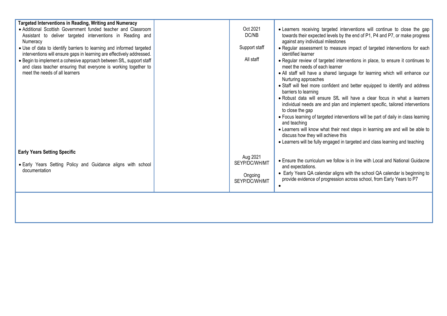| Targeted Interventions in Reading, Writing and Numeracy                                                                                       |                          |                                                                                                                                                                              |
|-----------------------------------------------------------------------------------------------------------------------------------------------|--------------------------|------------------------------------------------------------------------------------------------------------------------------------------------------------------------------|
| • Additional Scottish Government funded teacher and Classroom                                                                                 | Oct 2021                 | . Learners receiving targeted interventions will continue to close the gap                                                                                                   |
| Assistant to deliver targeted interventions in Reading and                                                                                    | DC/NB                    | towards their expected levels by the end of P1, P4 and P7, or make progress                                                                                                  |
| Numeracy                                                                                                                                      |                          | against any individual milestones                                                                                                                                            |
| . Use of data to identify barriers to learning and informed targeted<br>interventions will ensure gaps in learning are effectively addressed. | Support staff            | • Regular assessment to measure impact of targeted interventions for each<br>identified learner                                                                              |
| • Begin to implement a cohesive approach between SfL, support staff<br>and class teacher ensuring that everyone is working together to        | All staff                | • Regular review of targeted interventions in place, to ensure it continues to<br>meet the needs of each learner                                                             |
| meet the needs of all learners                                                                                                                |                          | • All staff will have a shared language for learning which will enhance our<br>Nurturing approaches                                                                          |
|                                                                                                                                               |                          | • Staff will feel more confident and better equipped to identify and address<br>barriers to learning                                                                         |
|                                                                                                                                               |                          | . Robust data will ensure SfL will have a clear focus in what a learners<br>individual needs are and plan and implement specific, tailored interventions<br>to close the gap |
|                                                                                                                                               |                          | • Focus learning of targeted interventions will be part of daily in class learning<br>and teaching                                                                           |
|                                                                                                                                               |                          | • Learners will know what their next steps in learning are and will be able to<br>discuss how they will achieve this                                                         |
|                                                                                                                                               |                          | • Learners will be fully engaged in targeted and class learning and teaching                                                                                                 |
|                                                                                                                                               |                          |                                                                                                                                                                              |
| <b>Early Years Setting Specific</b>                                                                                                           | Aug 2021                 |                                                                                                                                                                              |
| • Early Years Setting Policy and Guidance aligns with school                                                                                  | SEYP/DC/WH/MT            | • Ensure the curriculum we follow is in line with Local and National Guidacne<br>and expectations.                                                                           |
| documentation                                                                                                                                 | Ongoing<br>SEYP/DC/WH/MT | • Early Years QA calendar aligns with the school QA calendar is beginning to<br>provide evidence of progression across school, from Early Years to P7                        |
|                                                                                                                                               |                          |                                                                                                                                                                              |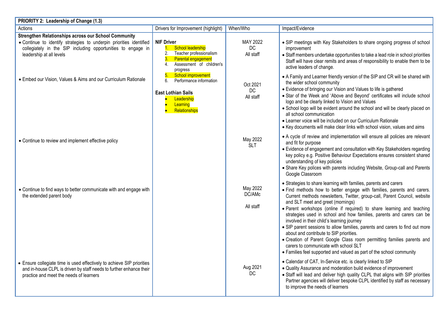| PRIORITY 2: Leadership of Change (1.3)                                                                                                                                                                                  |                                                                                                                                               |                                 |                                                                                                                                                                                                                                                                                                                                                                                                                                                                                                                                                                                                                                                                                                                                                                                     |  |  |
|-------------------------------------------------------------------------------------------------------------------------------------------------------------------------------------------------------------------------|-----------------------------------------------------------------------------------------------------------------------------------------------|---------------------------------|-------------------------------------------------------------------------------------------------------------------------------------------------------------------------------------------------------------------------------------------------------------------------------------------------------------------------------------------------------------------------------------------------------------------------------------------------------------------------------------------------------------------------------------------------------------------------------------------------------------------------------------------------------------------------------------------------------------------------------------------------------------------------------------|--|--|
| Actions                                                                                                                                                                                                                 | Drivers for Improvement (highlight)                                                                                                           | When/Who                        | Impact/Evidence                                                                                                                                                                                                                                                                                                                                                                                                                                                                                                                                                                                                                                                                                                                                                                     |  |  |
| Strengthen Relationships across our School Community<br>. Continue to identify strategies to underpin priorities identified<br>collegiately in the SIP including opportunities to engage in<br>leadership at all levels | <b>NIF Driver</b><br>School leadership<br>Teacher professionalism<br><b>Parental engagement</b><br>4.<br>Assessment of children's<br>progress | MAY 2022<br>DC<br>All staff     | • SIP meetings with Key Stakeholders to share ongoing progress of school<br>improvement<br>• Staff members undertake opportunities to take a lead role in school priorities<br>Staff will have clear remits and areas of responsibility to enable them to be<br>active leaders of change.                                                                                                                                                                                                                                                                                                                                                                                                                                                                                           |  |  |
| • Embed our Vision, Values & Aims and our Curriculum Rationale                                                                                                                                                          | School improvement<br>6.<br>Performance information<br><b>East Lothian Sails</b><br>Leadership<br>$\bullet$<br>Learning<br>Relationships      | Oct 2021<br>DC<br>All staff     | • A Family and Learner friendly version of the SIP and CR will be shared with<br>the wider school community<br>• Evidence of bringing our Vision and Values to life is gathered<br>• Star of the Week and 'Above and Beyond' certificates will include school<br>logo and be clearly linked to Vision and Values<br>• School logo will be evident around the school and will be clearly placed on<br>all school communication<br>• Learner voice will be included on our Curriculum Rationale<br>• Key documents will make clear links with school vision, values and aims                                                                                                                                                                                                          |  |  |
| • Continue to review and implement effective policy                                                                                                                                                                     |                                                                                                                                               | May 2022<br><b>SLT</b>          | • A cycle of review and implementation will ensure all policies are relevant<br>and fit for purpose<br>• Evidence of engagement and consultation with Key Stakeholders regarding<br>key policy e.g. Positive Behaviour Expectations ensures consistent shared<br>understanding of key policies<br>• Share Key polices with parents including Website, Group-call and Parents<br>Google Classroom                                                                                                                                                                                                                                                                                                                                                                                    |  |  |
| • Continue to find ways to better communicate with and engage with<br>the extended parent body                                                                                                                          |                                                                                                                                               | May 2022<br>DC/AMc<br>All staff | • Strategies to share learning with families, parents and carers<br>• Find methods how to better engage with families, parents and carers.<br>Current methods newsletters, Twitter, group-call, Parent Council, website<br>and SLT meet and greet (mornings)<br>. Parent workshops (online if required) to share learning and teaching<br>strategies used in school and how families, parents and carers can be<br>involved in their child's learning journey<br>• SIP parent sessions to allow families, parents and carers to find out more<br>about and contribute to SIP priorities.<br>• Creation of Parent Google Class room permitting families parents and<br>carers to communicate with school SLT<br>• Families feel supported and valued as part of the school community |  |  |
| • Ensure collegiate time is used effectively to achieve SIP priorities<br>and in-house CLPL is driven by staff needs to further enhance their<br>practice and meet the needs of learners                                |                                                                                                                                               | Aug 2021<br>DC                  | • Calendar of CAT, In-Service etc. is clearly linked to SIP<br>• Quality Assurance and moderation build evidence of improvement<br>• Staff will lead and deliver high quality CLPL that aligns with SIP priorities<br>Partner agencies will deliver bespoke CLPL identified by staff as necessary<br>to improve the needs of learners                                                                                                                                                                                                                                                                                                                                                                                                                                               |  |  |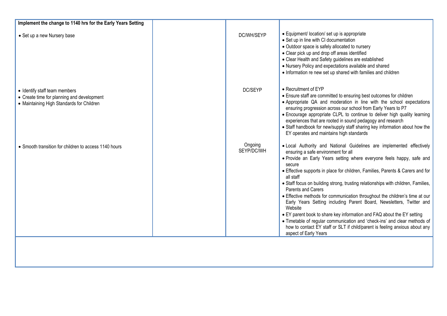| Implement the change to 1140 hrs for the Early Years Setting                                                             |                       |                                                                                                                                                                                                                                                                                                                                                                                                                                                                                                                                                                                                                                                                                                                                                                                                                                                   |
|--------------------------------------------------------------------------------------------------------------------------|-----------------------|---------------------------------------------------------------------------------------------------------------------------------------------------------------------------------------------------------------------------------------------------------------------------------------------------------------------------------------------------------------------------------------------------------------------------------------------------------------------------------------------------------------------------------------------------------------------------------------------------------------------------------------------------------------------------------------------------------------------------------------------------------------------------------------------------------------------------------------------------|
| • Set up a new Nursery base                                                                                              | DC/WH/SEYP            | • Equipment/ location/ set up is appropriate<br>• Set up in line with CI documentation<br>• Outdoor space is safely allocated to nursery<br>• Clear pick up and drop off areas identified<br>• Clear Health and Safety guidelines are established<br>• Nursery Policy and expectations available and shared<br>• Information re new set up shared with families and children                                                                                                                                                                                                                                                                                                                                                                                                                                                                      |
| • Identify staff team members<br>• Create time for planning and development<br>• Maintaining High Standards for Children | DC/SEYP               | • Recruitment of EYP<br>• Ensure staff are committed to ensuring best outcomes for children<br>• Appropriate QA and moderation in line with the school expectations<br>ensuring progression across our school from Early Years to P7<br>• Encourage appropriate CLPL to continue to deliver high quality learning<br>experiences that are rooted in sound pedagogy and research<br>• Staff handbook for new/supply staff sharing key information about how the<br>EY operates and maintains high standards                                                                                                                                                                                                                                                                                                                                        |
| • Smooth transition for children to access 1140 hours                                                                    | Ongoing<br>SEYP/DC/WH | . Local Authority and National Guidelines are implemented effectively<br>ensuring a safe environment for all<br>· Provide an Early Years setting where everyone feels happy, safe and<br>secure<br>• Effective supports in place for children, Families, Parents & Carers and for<br>all staff<br>• Staff focus on building strong, trusting relationships with children, Families,<br><b>Parents and Carers</b><br>• Effective methods for communication throughout the children's time at our<br>Early Years Setting including Parent Board, Newsletters, Twitter and<br>Website<br>• EY parent book to share key information and FAQ about the EY setting<br>• Timetable of regular communication and 'check-ins' and clear methods of<br>how to contact EY staff or SLT if child/parent is feeling anxious about any<br>aspect of Early Years |
|                                                                                                                          |                       |                                                                                                                                                                                                                                                                                                                                                                                                                                                                                                                                                                                                                                                                                                                                                                                                                                                   |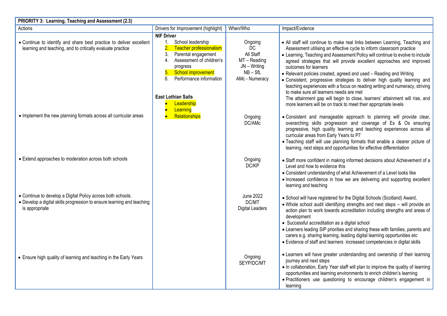| PRIORITY 3: Learning, Teaching and Assessment (2.3)                                                                                                     |                                                                                                                                                                                                                                                                     |                                                                                                        |                                                                                                                                                                                                                                                                                                                                                                                                                                                                                                                                                                                                                                                                                                    |  |  |
|---------------------------------------------------------------------------------------------------------------------------------------------------------|---------------------------------------------------------------------------------------------------------------------------------------------------------------------------------------------------------------------------------------------------------------------|--------------------------------------------------------------------------------------------------------|----------------------------------------------------------------------------------------------------------------------------------------------------------------------------------------------------------------------------------------------------------------------------------------------------------------------------------------------------------------------------------------------------------------------------------------------------------------------------------------------------------------------------------------------------------------------------------------------------------------------------------------------------------------------------------------------------|--|--|
| Actions                                                                                                                                                 | Drivers for Improvement (highlight)                                                                                                                                                                                                                                 | When/Who                                                                                               | Impact/Evidence                                                                                                                                                                                                                                                                                                                                                                                                                                                                                                                                                                                                                                                                                    |  |  |
| • Continue to identify and share best practice to deliver excellent<br>learning and teaching, and to critically evaluate practice                       | <b>NIF Driver</b><br>School leadership<br>$1_{\cdot}$<br>$\overline{2}$ .<br>Teacher professionalism<br>3.<br>Parental engagement<br>4.<br>Assessment of children's<br>progress<br>5. School improvement<br>6. Performance information<br><b>East Lothian Sails</b> | Ongoing<br>D <sub>C</sub><br>All Staff<br>MT - Reading<br>JN - Writing<br>$NB - SfL$<br>AMc - Numeracy | • All staff will continue to make real links between Learning, Teaching and<br>Assessment utilising an effective cycle to inform classroom practice<br>• Learning, Teaching and Assessment Policy will continue to evolve to include<br>agreed strategies that will provide excellent approaches and improved<br>outcomes for learners<br>• Relevant policies created, agreed and used - Reading and Writing<br>• Consistent, progressive strategies to deliver high quality learning and<br>teaching experiences with a focus on reading writing and numeracy, striving<br>to make sure all learners needs are met<br>The attainment gap will begin to close, learners' attainment will rise, and |  |  |
| • Implement the new planning formats across all curricular areas                                                                                        | Leadership<br>Learning<br>Relationships                                                                                                                                                                                                                             | Ongoing<br>DC/AMc                                                                                      | more learners will be on track to meet their appropriate levels<br>. Consistent and manageable approach to planning will provide clear,<br>overarching skills progression and coverage of Es & Os ensuring<br>progressive, high quality learning and teaching experiences across all<br>curricular areas from Early Years to P7<br>. Teaching staff will use planning formats that enable a clearer picture of<br>learning, next steps and opportunities for effective differentiation                                                                                                                                                                                                             |  |  |
| • Extend approaches to moderation across both schools                                                                                                   |                                                                                                                                                                                                                                                                     | Ongoing<br>DC/KP                                                                                       | • Staff more confident in making informed decisions about Achievement of a<br>Level and how to evidence this<br>• Consistent understanding of what Achievement of a Level looks like<br>• Increased confidence in how we are delivering and supporting excellent<br>learning and teaching                                                                                                                                                                                                                                                                                                                                                                                                          |  |  |
| • Continue to develop a Digital Policy across both schools.<br>• Develop a digital skills progression to ensure learning and teaching<br>is appropriate |                                                                                                                                                                                                                                                                     | <b>June 2022</b><br>DC/MT<br><b>Digital Leaders</b>                                                    | • School will have registered for the Digital Schools (Scotland) Award,<br>. Whole school audit identifying strengths and next steps - will provide an<br>action plan to work towards accreditation including strengths and areas of<br>development<br>• Successful accreditation as a digital school<br>• Learners leading SIP priorities and sharing these with families, parents and<br>carers e.g. sharing learning, leading digital learning opportunities etc<br>• Evidence of staff and learners increased competencies in digital skills                                                                                                                                                   |  |  |
| • Ensure high quality of learning and teaching in the Early Years                                                                                       |                                                                                                                                                                                                                                                                     | Ongoing<br>SEYP/DC/MT                                                                                  | • Learners will have greater understanding and ownership of their learning<br>journey and next steps<br>. In collaboration, Early Year staff will plan to improve the quality of learning<br>opportunities and learning environments to enrich children's learning<br>· Practitioners use questioning to encourage children's engagement in<br>learning                                                                                                                                                                                                                                                                                                                                            |  |  |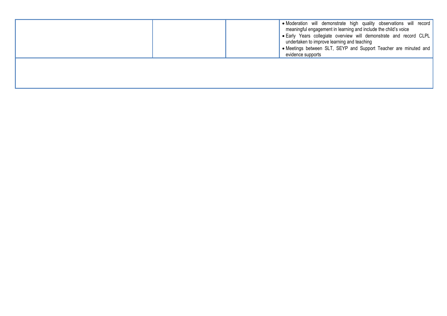|  | • Moderation will demonstrate high quality observations will record<br>meaningful engagement in learning and include the child's voice<br>. Early Years collegiate overview will demonstrate and record CLPL<br>undertaken to improve learning and teaching<br>• Meetings between SLT, SEYP and Support Teacher are minuted and<br>evidence supports |
|--|------------------------------------------------------------------------------------------------------------------------------------------------------------------------------------------------------------------------------------------------------------------------------------------------------------------------------------------------------|
|  |                                                                                                                                                                                                                                                                                                                                                      |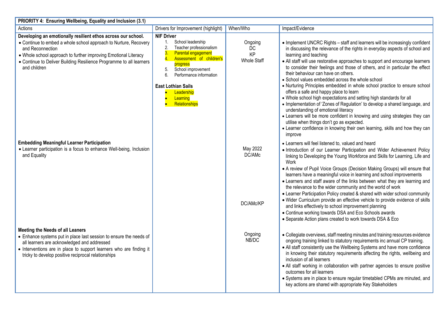| PRIORITY 4: Ensuring Wellbeing, Equality and Inclusion (3.1)                                                                                                                                                                                                                                                   |                                                                                                                                                                                                                                                                                                           |                                           |                                                                                                                                                                                                                                                                                                                                                                                                                                                                                                                                                                                                                                                                                                                                                                                                                                                                                                                                                                                           |  |  |
|----------------------------------------------------------------------------------------------------------------------------------------------------------------------------------------------------------------------------------------------------------------------------------------------------------------|-----------------------------------------------------------------------------------------------------------------------------------------------------------------------------------------------------------------------------------------------------------------------------------------------------------|-------------------------------------------|-------------------------------------------------------------------------------------------------------------------------------------------------------------------------------------------------------------------------------------------------------------------------------------------------------------------------------------------------------------------------------------------------------------------------------------------------------------------------------------------------------------------------------------------------------------------------------------------------------------------------------------------------------------------------------------------------------------------------------------------------------------------------------------------------------------------------------------------------------------------------------------------------------------------------------------------------------------------------------------------|--|--|
| Actions                                                                                                                                                                                                                                                                                                        | Drivers for Improvement (highlight)                                                                                                                                                                                                                                                                       | When/Who                                  | Impact/Evidence                                                                                                                                                                                                                                                                                                                                                                                                                                                                                                                                                                                                                                                                                                                                                                                                                                                                                                                                                                           |  |  |
| Developing an emotionally resilient ethos across our school.<br>• Continue to embed a whole school approach to Nurture, Recovery<br>and Reconnection<br>• Whole school approach to further improving Emotional Literacy<br>• Continue to Deliver Building Resilience Programme to all learners<br>and children | <b>NIF Driver</b><br>School leadership<br>$1_{-}$<br>2.<br>Teacher professionalism<br>Parental engagement<br>$\overline{4.}$<br>Assessment of children's<br>progress<br>School improvement<br>5.<br>6.<br>Performance information<br><b>East Lothian Sails</b><br>Leadership<br>Learning<br>Relationships | Ongoing<br>DC<br>KP<br><b>Whole Staff</b> | • Implement UNCRC Rights - staff and learners will be increasingly confident<br>in discussing the relevance of the rights in everyday aspects of school and<br>learning and teaching<br>• All staff will use restorative approaches to support and encourage learners<br>to consider their feelings and those of others, and in particular the effect<br>their behaviour can have on others.<br>• School values embedded across the whole school<br>• Nurturing Principles embedded in whole school practice to ensure school<br>offers a safe and happy place to learn<br>• Whole school high expectations and setting high standards for all<br>• Implementation of 'Zones of Regulation' to develop a shared language, and<br>understanding of emotional literacy<br>• Learners will be more confident in knowing and using strategies they can<br>utilise when things don't go as expected.<br>• Learner confidence in knowing their own learning, skills and how they can<br>improve |  |  |
| <b>Embedding Meaningful Learner Participation</b><br>• Learner participation is a focus to enhance Well-being, Inclusion<br>and Equality                                                                                                                                                                       |                                                                                                                                                                                                                                                                                                           | May 2022<br>DC/AMc<br>DC/AMc/KP           | • Learners will feel listened to, valued and heard<br>• Introduction of our Learner Participation and Wider Achievement Policy<br>linking to Developing the Young Workforce and Skills for Learning, Life and<br>Work<br>• A review of Pupil Voice Groups (Decision Making Groups) will ensure that<br>learners have a meaningful voice in learning and school improvements<br>• Learners and staff aware of the links between what they are learning and<br>the relevance to the wider community and the world of work<br>• Learner Participation Policy created & shared with wider school community<br>• Wider Curriculum provide an effective vehicle to provide evidence of skills<br>and links effectively to school improvement planning<br>• Continue working towards DSA and Eco Schools awards<br>• Separate Action plans created to work towards DSA & Eco                                                                                                                     |  |  |
| <b>Meeting the Needs of all Leaners</b><br>• Enhance systems put in place last session to ensure the needs of<br>all learners are acknowledged and addressed<br>• Interventions are in place to support learners who are finding it<br>tricky to develop positive reciprocal relationships                     |                                                                                                                                                                                                                                                                                                           | Ongoing<br>NB/DC                          | • Collegiate overviews, staff meeting minutes and training resources evidence<br>ongoing training linked to statutory requirements inc annual CP training.<br>• All staff consistently use the Wellbeing Systems and have more confidence<br>in knowing their statutory requirements affecting the rights, wellbeing and<br>inclusion of all learners<br>• All staff working in collaboration with partner agencies to ensure positive<br>outcomes for all learners<br>• Systems are in place to ensure regular timetabled CPMs are minuted, and<br>key actions are shared with appropriate Key Stakeholders                                                                                                                                                                                                                                                                                                                                                                              |  |  |